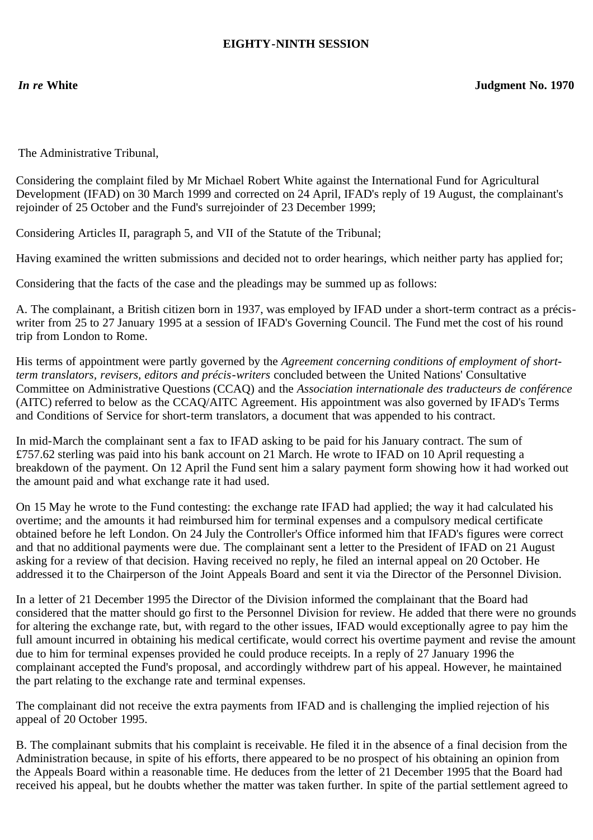## **EIGHTY-NINTH SESSION**

The Administrative Tribunal,

Considering the complaint filed by Mr Michael Robert White against the International Fund for Agricultural Development (IFAD) on 30 March 1999 and corrected on 24 April, IFAD's reply of 19 August, the complainant's rejoinder of 25 October and the Fund's surrejoinder of 23 December 1999;

Considering Articles II, paragraph 5, and VII of the Statute of the Tribunal;

Having examined the written submissions and decided not to order hearings, which neither party has applied for;

Considering that the facts of the case and the pleadings may be summed up as follows:

A. The complainant, a British citizen born in 1937, was employed by IFAD under a short-term contract as a préciswriter from 25 to 27 January 1995 at a session of IFAD's Governing Council. The Fund met the cost of his round trip from London to Rome.

His terms of appointment were partly governed by the *Agreement concerning conditions of employment of shortterm translators, revisers, editors and précis-writers* concluded between the United Nations' Consultative Committee on Administrative Questions (CCAQ) and the *Association internationale des traducteurs de conférence* (AITC) referred to below as the CCAQ/AITC Agreement. His appointment was also governed by IFAD's Terms and Conditions of Service for short-term translators, a document that was appended to his contract.

In mid-March the complainant sent a fax to IFAD asking to be paid for his January contract. The sum of £757.62 sterling was paid into his bank account on 21 March. He wrote to IFAD on 10 April requesting a breakdown of the payment. On 12 April the Fund sent him a salary payment form showing how it had worked out the amount paid and what exchange rate it had used.

On 15 May he wrote to the Fund contesting: the exchange rate IFAD had applied; the way it had calculated his overtime; and the amounts it had reimbursed him for terminal expenses and a compulsory medical certificate obtained before he left London. On 24 July the Controller's Office informed him that IFAD's figures were correct and that no additional payments were due. The complainant sent a letter to the President of IFAD on 21 August asking for a review of that decision. Having received no reply, he filed an internal appeal on 20 October. He addressed it to the Chairperson of the Joint Appeals Board and sent it via the Director of the Personnel Division.

In a letter of 21 December 1995 the Director of the Division informed the complainant that the Board had considered that the matter should go first to the Personnel Division for review. He added that there were no grounds for altering the exchange rate, but, with regard to the other issues, IFAD would exceptionally agree to pay him the full amount incurred in obtaining his medical certificate, would correct his overtime payment and revise the amount due to him for terminal expenses provided he could produce receipts. In a reply of 27 January 1996 the complainant accepted the Fund's proposal, and accordingly withdrew part of his appeal. However, he maintained the part relating to the exchange rate and terminal expenses.

The complainant did not receive the extra payments from IFAD and is challenging the implied rejection of his appeal of 20 October 1995.

B. The complainant submits that his complaint is receivable. He filed it in the absence of a final decision from the Administration because, in spite of his efforts, there appeared to be no prospect of his obtaining an opinion from the Appeals Board within a reasonable time. He deduces from the letter of 21 December 1995 that the Board had received his appeal, but he doubts whether the matter was taken further. In spite of the partial settlement agreed to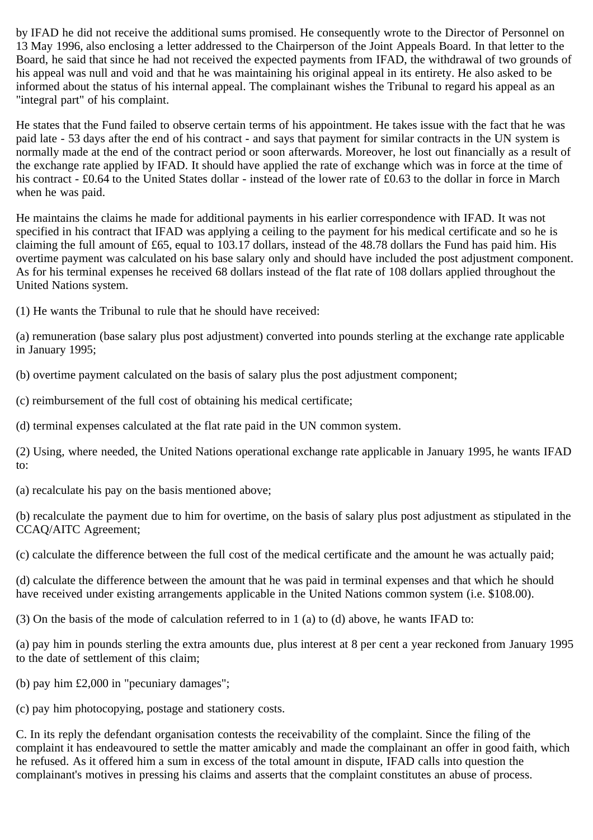by IFAD he did not receive the additional sums promised. He consequently wrote to the Director of Personnel on 13 May 1996, also enclosing a letter addressed to the Chairperson of the Joint Appeals Board. In that letter to the Board, he said that since he had not received the expected payments from IFAD, the withdrawal of two grounds of his appeal was null and void and that he was maintaining his original appeal in its entirety. He also asked to be informed about the status of his internal appeal. The complainant wishes the Tribunal to regard his appeal as an "integral part" of his complaint.

He states that the Fund failed to observe certain terms of his appointment. He takes issue with the fact that he was paid late - 53 days after the end of his contract - and says that payment for similar contracts in the UN system is normally made at the end of the contract period or soon afterwards. Moreover, he lost out financially as a result of the exchange rate applied by IFAD. It should have applied the rate of exchange which was in force at the time of his contract - £0.64 to the United States dollar - instead of the lower rate of £0.63 to the dollar in force in March when he was paid.

He maintains the claims he made for additional payments in his earlier correspondence with IFAD. It was not specified in his contract that IFAD was applying a ceiling to the payment for his medical certificate and so he is claiming the full amount of £65, equal to 103.17 dollars, instead of the 48.78 dollars the Fund has paid him. His overtime payment was calculated on his base salary only and should have included the post adjustment component. As for his terminal expenses he received 68 dollars instead of the flat rate of 108 dollars applied throughout the United Nations system.

(1) He wants the Tribunal to rule that he should have received:

(a) remuneration (base salary plus post adjustment) converted into pounds sterling at the exchange rate applicable in January 1995;

(b) overtime payment calculated on the basis of salary plus the post adjustment component;

(c) reimbursement of the full cost of obtaining his medical certificate;

(d) terminal expenses calculated at the flat rate paid in the UN common system.

(2) Using, where needed, the United Nations operational exchange rate applicable in January 1995, he wants IFAD to:

(a) recalculate his pay on the basis mentioned above;

(b) recalculate the payment due to him for overtime, on the basis of salary plus post adjustment as stipulated in the CCAQ/AITC Agreement;

(c) calculate the difference between the full cost of the medical certificate and the amount he was actually paid;

(d) calculate the difference between the amount that he was paid in terminal expenses and that which he should have received under existing arrangements applicable in the United Nations common system (i.e. \$108.00).

(3) On the basis of the mode of calculation referred to in 1 (a) to (d) above, he wants IFAD to:

(a) pay him in pounds sterling the extra amounts due, plus interest at 8 per cent a year reckoned from January 1995 to the date of settlement of this claim;

(b) pay him £2,000 in "pecuniary damages";

(c) pay him photocopying, postage and stationery costs.

C. In its reply the defendant organisation contests the receivability of the complaint. Since the filing of the complaint it has endeavoured to settle the matter amicably and made the complainant an offer in good faith, which he refused. As it offered him a sum in excess of the total amount in dispute, IFAD calls into question the complainant's motives in pressing his claims and asserts that the complaint constitutes an abuse of process.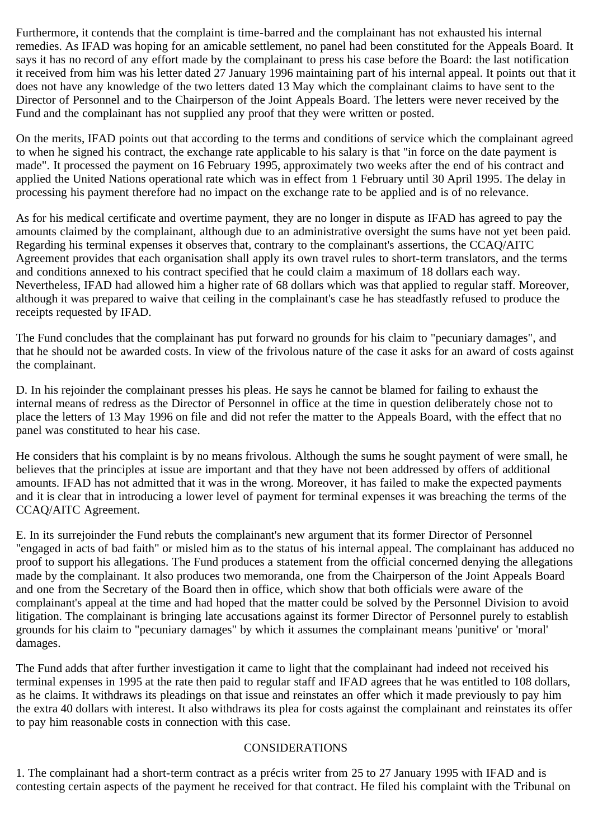Furthermore, it contends that the complaint is time-barred and the complainant has not exhausted his internal remedies. As IFAD was hoping for an amicable settlement, no panel had been constituted for the Appeals Board. It says it has no record of any effort made by the complainant to press his case before the Board: the last notification it received from him was his letter dated 27 January 1996 maintaining part of his internal appeal. It points out that it does not have any knowledge of the two letters dated 13 May which the complainant claims to have sent to the Director of Personnel and to the Chairperson of the Joint Appeals Board. The letters were never received by the Fund and the complainant has not supplied any proof that they were written or posted.

On the merits, IFAD points out that according to the terms and conditions of service which the complainant agreed to when he signed his contract, the exchange rate applicable to his salary is that "in force on the date payment is made". It processed the payment on 16 February 1995, approximately two weeks after the end of his contract and applied the United Nations operational rate which was in effect from 1 February until 30 April 1995. The delay in processing his payment therefore had no impact on the exchange rate to be applied and is of no relevance.

As for his medical certificate and overtime payment, they are no longer in dispute as IFAD has agreed to pay the amounts claimed by the complainant, although due to an administrative oversight the sums have not yet been paid. Regarding his terminal expenses it observes that, contrary to the complainant's assertions, the CCAQ/AITC Agreement provides that each organisation shall apply its own travel rules to short-term translators, and the terms and conditions annexed to his contract specified that he could claim a maximum of 18 dollars each way. Nevertheless, IFAD had allowed him a higher rate of 68 dollars which was that applied to regular staff. Moreover, although it was prepared to waive that ceiling in the complainant's case he has steadfastly refused to produce the receipts requested by IFAD.

The Fund concludes that the complainant has put forward no grounds for his claim to "pecuniary damages", and that he should not be awarded costs. In view of the frivolous nature of the case it asks for an award of costs against the complainant.

D. In his rejoinder the complainant presses his pleas. He says he cannot be blamed for failing to exhaust the internal means of redress as the Director of Personnel in office at the time in question deliberately chose not to place the letters of 13 May 1996 on file and did not refer the matter to the Appeals Board, with the effect that no panel was constituted to hear his case.

He considers that his complaint is by no means frivolous. Although the sums he sought payment of were small, he believes that the principles at issue are important and that they have not been addressed by offers of additional amounts. IFAD has not admitted that it was in the wrong. Moreover, it has failed to make the expected payments and it is clear that in introducing a lower level of payment for terminal expenses it was breaching the terms of the CCAQ/AITC Agreement.

E. In its surrejoinder the Fund rebuts the complainant's new argument that its former Director of Personnel "engaged in acts of bad faith" or misled him as to the status of his internal appeal. The complainant has adduced no proof to support his allegations. The Fund produces a statement from the official concerned denying the allegations made by the complainant. It also produces two memoranda, one from the Chairperson of the Joint Appeals Board and one from the Secretary of the Board then in office, which show that both officials were aware of the complainant's appeal at the time and had hoped that the matter could be solved by the Personnel Division to avoid litigation. The complainant is bringing late accusations against its former Director of Personnel purely to establish grounds for his claim to "pecuniary damages" by which it assumes the complainant means 'punitive' or 'moral' damages.

The Fund adds that after further investigation it came to light that the complainant had indeed not received his terminal expenses in 1995 at the rate then paid to regular staff and IFAD agrees that he was entitled to 108 dollars, as he claims. It withdraws its pleadings on that issue and reinstates an offer which it made previously to pay him the extra 40 dollars with interest. It also withdraws its plea for costs against the complainant and reinstates its offer to pay him reasonable costs in connection with this case.

## CONSIDERATIONS

1. The complainant had a short-term contract as a précis writer from 25 to 27 January 1995 with IFAD and is contesting certain aspects of the payment he received for that contract. He filed his complaint with the Tribunal on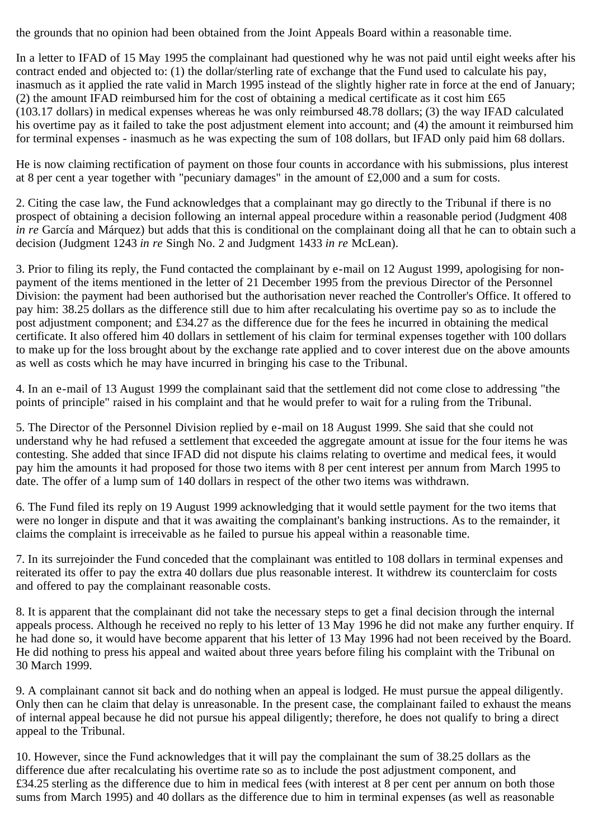the grounds that no opinion had been obtained from the Joint Appeals Board within a reasonable time.

In a letter to IFAD of 15 May 1995 the complainant had questioned why he was not paid until eight weeks after his contract ended and objected to: (1) the dollar/sterling rate of exchange that the Fund used to calculate his pay, inasmuch as it applied the rate valid in March 1995 instead of the slightly higher rate in force at the end of January; (2) the amount IFAD reimbursed him for the cost of obtaining a medical certificate as it cost him £65 (103.17 dollars) in medical expenses whereas he was only reimbursed 48.78 dollars; (3) the way IFAD calculated his overtime pay as it failed to take the post adjustment element into account; and (4) the amount it reimbursed him for terminal expenses - inasmuch as he was expecting the sum of 108 dollars, but IFAD only paid him 68 dollars.

He is now claiming rectification of payment on those four counts in accordance with his submissions, plus interest at 8 per cent a year together with "pecuniary damages" in the amount of £2,000 and a sum for costs.

2. Citing the case law, the Fund acknowledges that a complainant may go directly to the Tribunal if there is no prospect of obtaining a decision following an internal appeal procedure within a reasonable period (Judgment 408 *in re* García and Márquez) but adds that this is conditional on the complainant doing all that he can to obtain such a decision (Judgment 1243 *in re* Singh No. 2 and Judgment 1433 *in re* McLean).

3. Prior to filing its reply, the Fund contacted the complainant by e-mail on 12 August 1999, apologising for nonpayment of the items mentioned in the letter of 21 December 1995 from the previous Director of the Personnel Division: the payment had been authorised but the authorisation never reached the Controller's Office. It offered to pay him: 38.25 dollars as the difference still due to him after recalculating his overtime pay so as to include the post adjustment component; and £34.27 as the difference due for the fees he incurred in obtaining the medical certificate. It also offered him 40 dollars in settlement of his claim for terminal expenses together with 100 dollars to make up for the loss brought about by the exchange rate applied and to cover interest due on the above amounts as well as costs which he may have incurred in bringing his case to the Tribunal.

4. In an e-mail of 13 August 1999 the complainant said that the settlement did not come close to addressing "the points of principle" raised in his complaint and that he would prefer to wait for a ruling from the Tribunal.

5. The Director of the Personnel Division replied by e-mail on 18 August 1999. She said that she could not understand why he had refused a settlement that exceeded the aggregate amount at issue for the four items he was contesting. She added that since IFAD did not dispute his claims relating to overtime and medical fees, it would pay him the amounts it had proposed for those two items with 8 per cent interest per annum from March 1995 to date. The offer of a lump sum of 140 dollars in respect of the other two items was withdrawn.

6. The Fund filed its reply on 19 August 1999 acknowledging that it would settle payment for the two items that were no longer in dispute and that it was awaiting the complainant's banking instructions. As to the remainder, it claims the complaint is irreceivable as he failed to pursue his appeal within a reasonable time.

7. In its surrejoinder the Fund conceded that the complainant was entitled to 108 dollars in terminal expenses and reiterated its offer to pay the extra 40 dollars due plus reasonable interest. It withdrew its counterclaim for costs and offered to pay the complainant reasonable costs.

8. It is apparent that the complainant did not take the necessary steps to get a final decision through the internal appeals process. Although he received no reply to his letter of 13 May 1996 he did not make any further enquiry. If he had done so, it would have become apparent that his letter of 13 May 1996 had not been received by the Board. He did nothing to press his appeal and waited about three years before filing his complaint with the Tribunal on 30 March 1999.

9. A complainant cannot sit back and do nothing when an appeal is lodged. He must pursue the appeal diligently. Only then can he claim that delay is unreasonable. In the present case, the complainant failed to exhaust the means of internal appeal because he did not pursue his appeal diligently; therefore, he does not qualify to bring a direct appeal to the Tribunal.

10. However, since the Fund acknowledges that it will pay the complainant the sum of 38.25 dollars as the difference due after recalculating his overtime rate so as to include the post adjustment component, and £34.25 sterling as the difference due to him in medical fees (with interest at 8 per cent per annum on both those sums from March 1995) and 40 dollars as the difference due to him in terminal expenses (as well as reasonable